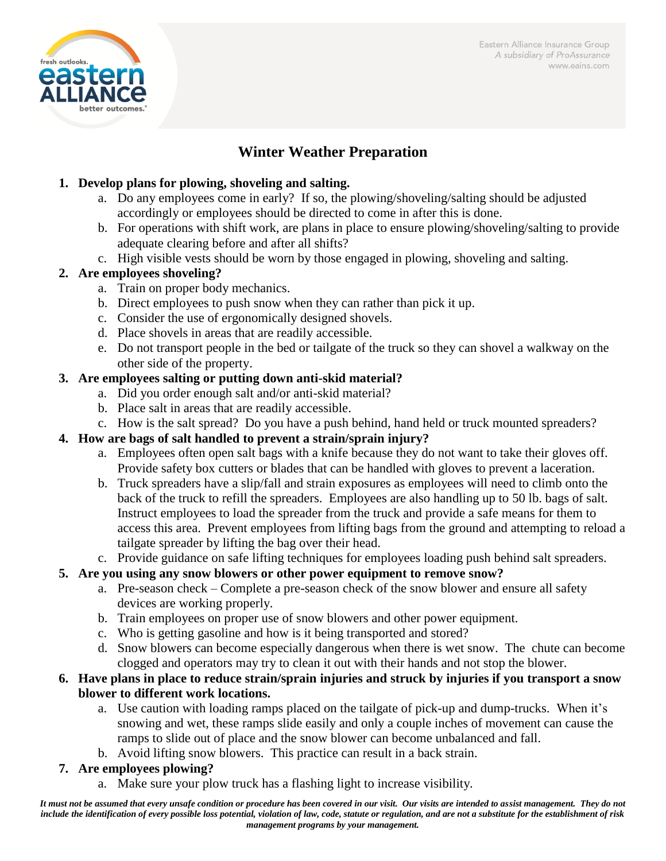Eastern Alliance Insurance Group A subsidiary of ProAssurance www.eains.com



# **Winter Weather Preparation**

#### **1. Develop plans for plowing, shoveling and salting.**

- a. Do any employees come in early? If so, the plowing/shoveling/salting should be adjusted accordingly or employees should be directed to come in after this is done.
- b. For operations with shift work, are plans in place to ensure plowing/shoveling/salting to provide adequate clearing before and after all shifts?
- c. High visible vests should be worn by those engaged in plowing, shoveling and salting.

# **2. Are employees shoveling?**

- a. Train on proper body mechanics.
- b. Direct employees to push snow when they can rather than pick it up.
- c. Consider the use of ergonomically designed shovels.
- d. Place shovels in areas that are readily accessible.
- e. Do not transport people in the bed or tailgate of the truck so they can shovel a walkway on the other side of the property.

#### **3. Are employees salting or putting down anti-skid material?**

- a. Did you order enough salt and/or anti-skid material?
- b. Place salt in areas that are readily accessible.
- c. How is the salt spread? Do you have a push behind, hand held or truck mounted spreaders?

# **4. How are bags of salt handled to prevent a strain/sprain injury?**

- a. Employees often open salt bags with a knife because they do not want to take their gloves off. Provide safety box cutters or blades that can be handled with gloves to prevent a laceration.
- b. Truck spreaders have a slip/fall and strain exposures as employees will need to climb onto the back of the truck to refill the spreaders. Employees are also handling up to 50 lb. bags of salt. Instruct employees to load the spreader from the truck and provide a safe means for them to access this area. Prevent employees from lifting bags from the ground and attempting to reload a tailgate spreader by lifting the bag over their head.
- c. Provide guidance on safe lifting techniques for employees loading push behind salt spreaders.

#### **5. Are you using any snow blowers or other power equipment to remove snow?**

- a. Pre-season check Complete a pre-season check of the snow blower and ensure all safety devices are working properly.
- b. Train employees on proper use of snow blowers and other power equipment.
- c. Who is getting gasoline and how is it being transported and stored?
- d. Snow blowers can become especially dangerous when there is wet snow. The chute can become clogged and operators may try to clean it out with their hands and not stop the blower.

#### **6. Have plans in place to reduce strain/sprain injuries and struck by injuries if you transport a snow blower to different work locations.**

- a. Use caution with loading ramps placed on the tailgate of pick-up and dump-trucks. When it's snowing and wet, these ramps slide easily and only a couple inches of movement can cause the ramps to slide out of place and the snow blower can become unbalanced and fall.
- b. Avoid lifting snow blowers. This practice can result in a back strain.

# **7. Are employees plowing?**

a. Make sure your plow truck has a flashing light to increase visibility.